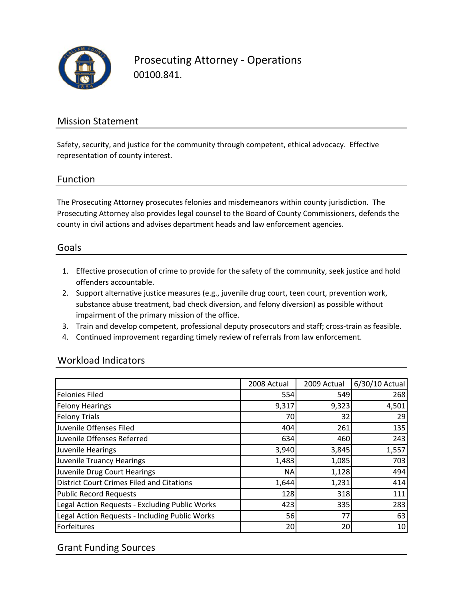

Prosecuting Attorney ‐ Operations 00100.841.

# Mission Statement

Safety, security, and justice for the community through competent, ethical advocacy. Effective representation of county interest.

#### Function

The Prosecuting Attorney prosecutes felonies and misdemeanors within county jurisdiction. The Prosecuting Attorney also provides legal counsel to the Board of County Commissioners, defends the county in civil actions and advises department heads and law enforcement agencies.

#### Goals

- 1. Effective prosecution of crime to provide for the safety of the community, seek justice and hold offenders accountable.
- 2. Support alternative justice measures (e.g., juvenile drug court, teen court, prevention work, substance abuse treatment, bad check diversion, and felony diversion) as possible without impairment of the primary mission of the office.
- 3. Train and develop competent, professional deputy prosecutors and staff; cross‐train as feasible.
- 4. Continued improvement regarding timely review of referrals from law enforcement.

#### Workload Indicators

|                                                  | 2008 Actual     | 2009 Actual | 6/30/10 Actual |
|--------------------------------------------------|-----------------|-------------|----------------|
| <b>Felonies Filed</b>                            | 554             | 549         | 268            |
| <b>Felony Hearings</b>                           | 9,317           | 9,323       | 4,501          |
| <b>Felony Trials</b>                             | 70              | 32          | 29             |
| Juvenile Offenses Filed                          | 404             | 261         | 135            |
| Juvenile Offenses Referred                       | 634             | 460         | 243            |
| Juvenile Hearings                                | 3,940           | 3,845       | 1,557          |
| <b>Juvenile Truancy Hearings</b>                 | 1,483           | 1,085       | 703            |
| Juvenile Drug Court Hearings                     | <b>NA</b>       | 1,128       | 494            |
| <b>District Court Crimes Filed and Citations</b> | 1,644           | 1,231       | 414            |
| <b>Public Record Requests</b>                    | 128             | 318         | 111            |
| Legal Action Requests - Excluding Public Works   | 423             | 335         | 283            |
| Legal Action Requests - Including Public Works   | 56              | 77          | 63             |
| Forfeitures                                      | 20 <sub>l</sub> | 20          | 10             |

### Grant Funding Sources